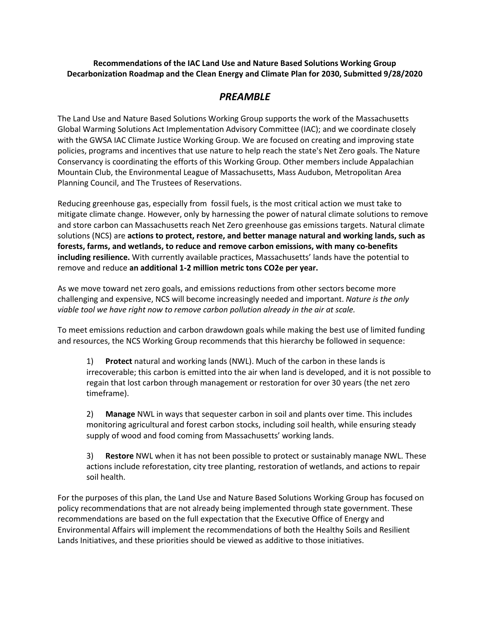### **Recommendations of the IAC Land Use and Nature Based Solutions Working Group Decarbonization Roadmap and the Clean Energy and Climate Plan for 2030, Submitted 9/28/2020**

# *PREAMBLE*

The Land Use and Nature Based Solutions Working Group supports the work of the Massachusetts Global Warming Solutions Act Implementation Advisory Committee (IAC); and we coordinate closely with the GWSA IAC Climate Justice Working Group. We are focused on creating and improving state policies, programs and incentives that use nature to help reach the state's Net Zero goals. The Nature Conservancy is coordinating the efforts of this Working Group. Other members include Appalachian Mountain Club, the Environmental League of Massachusetts, Mass Audubon, Metropolitan Area Planning Council, and The Trustees of Reservations.

Reducing greenhouse gas, especially from fossil fuels, is the most critical action we must take to mitigate climate change. However, only by harnessing the power of natural climate solutions to remove and store carbon can Massachusetts reach Net Zero greenhouse gas emissions targets. Natural climate solutions (NCS) are **actions to protect, restore, and better manage natural and working lands, such as forests, farms, and wetlands, to reduce and remove carbon emissions, with many co-benefits including resilience.** With currently available practices, Massachusetts' lands have the potential to remove and reduce **an additional 1-2 million metric tons CO2e per year.**

As we move toward net zero goals, and emissions reductions from other sectors become more challenging and expensive, NCS will become increasingly needed and important. *Nature is the only viable tool we have right now to remove carbon pollution already in the air at scale.*

To meet emissions reduction and carbon drawdown goals while making the best use of limited funding and resources, the NCS Working Group recommends that this hierarchy be followed in sequence:

1) **Protect** natural and working lands (NWL). Much of the carbon in these lands is irrecoverable; this carbon is emitted into the air when land is developed, and it is not possible to regain that lost carbon through management or restoration for over 30 years (the net zero timeframe).

2) **Manage** NWL in ways that sequester carbon in soil and plants over time. This includes monitoring agricultural and forest carbon stocks, including soil health, while ensuring steady supply of wood and food coming from Massachusetts' working lands.

3) **Restore** NWL when it has not been possible to protect or sustainably manage NWL. These actions include reforestation, city tree planting, restoration of wetlands, and actions to repair soil health.

For the purposes of this plan, the Land Use and Nature Based Solutions Working Group has focused on policy recommendations that are not already being implemented through state government. These recommendations are based on the full expectation that the Executive Office of Energy and Environmental Affairs will implement the recommendations of both the Healthy Soils and Resilient Lands Initiatives, and these priorities should be viewed as additive to those initiatives.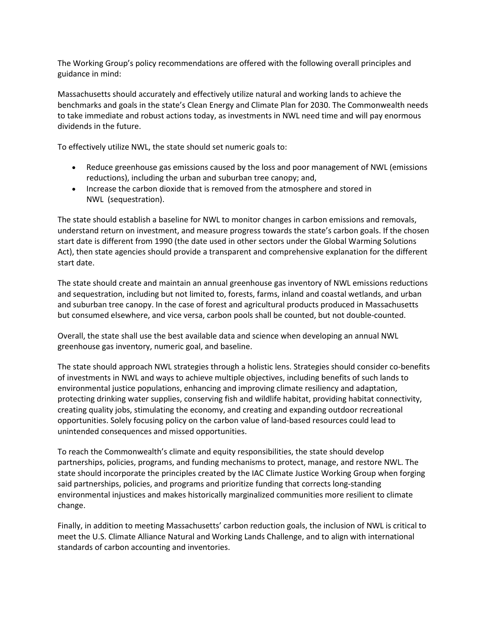The Working Group's policy recommendations are offered with the following overall principles and guidance in mind:

Massachusetts should accurately and effectively utilize natural and working lands to achieve the benchmarks and goals in the state's Clean Energy and Climate Plan for 2030. The Commonwealth needs to take immediate and robust actions today, as investments in NWL need time and will pay enormous dividends in the future.

To effectively utilize NWL, the state should set numeric goals to:

- Reduce greenhouse gas emissions caused by the loss and poor management of NWL (emissions reductions), including the urban and suburban tree canopy; and,
- Increase the carbon dioxide that is removed from the atmosphere and stored in NWL (sequestration).

The state should establish a baseline for NWL to monitor changes in carbon emissions and removals, understand return on investment, and measure progress towards the state's carbon goals. If the chosen start date is different from 1990 (the date used in other sectors under the Global Warming Solutions Act), then state agencies should provide a transparent and comprehensive explanation for the different start date.

The state should create and maintain an annual greenhouse gas inventory of NWL emissions reductions and sequestration, including but not limited to, forests, farms, inland and coastal wetlands, and urban and suburban tree canopy. In the case of forest and agricultural products produced in Massachusetts but consumed elsewhere, and vice versa, carbon pools shall be counted, but not double-counted.

Overall, the state shall use the best available data and science when developing an annual NWL greenhouse gas inventory, numeric goal, and baseline.

The state should approach NWL strategies through a holistic lens. Strategies should consider co-benefits of investments in NWL and ways to achieve multiple objectives, including benefits of such lands to environmental justice populations, enhancing and improving climate resiliency and adaptation, protecting drinking water supplies, conserving fish and wildlife habitat, providing habitat connectivity, creating quality jobs, stimulating the economy, and creating and expanding outdoor recreational opportunities. Solely focusing policy on the carbon value of land-based resources could lead to unintended consequences and missed opportunities.

To reach the Commonwealth's climate and equity responsibilities, the state should develop partnerships, policies, programs, and funding mechanisms to protect, manage, and restore NWL. The state should incorporate the principles created by the IAC Climate Justice Working Group when forging said partnerships, policies, and programs and prioritize funding that corrects long-standing environmental injustices and makes historically marginalized communities more resilient to climate change.

Finally, in addition to meeting Massachusetts' carbon reduction goals, the inclusion of NWL is critical to meet the U.S. Climate Alliance Natural and Working Lands Challenge, and to align with international standards of carbon accounting and inventories.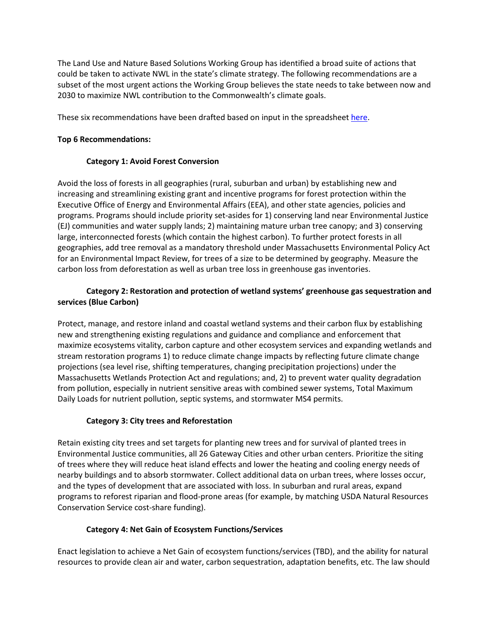The Land Use and Nature Based Solutions Working Group has identified a broad suite of actions that could be taken to activate NWL in the state's climate strategy. The following recommendations are a subset of the most urgent actions the Working Group believes the state needs to take between now and 2030 to maximize NWL contribution to the Commonwealth's climate goals.

These six recommendations have been drafted based on input in the spreadsheet [here.](https://docs.google.com/spreadsheets/d/13ZlAN8YioO4ml7MrjP3FScO1YmAsYHmHnCEY0M8B2MM/edit?usp=sharing)

### **Top 6 Recommendations:**

### **Category 1: Avoid Forest Conversion**

Avoid the loss of forests in all geographies (rural, suburban and urban) by establishing new and increasing and streamlining existing grant and incentive programs for forest protection within the Executive Office of Energy and Environmental Affairs (EEA), and other state agencies, policies and programs. Programs should include priority set-asides for 1) conserving land near Environmental Justice (EJ) communities and water supply lands; 2) maintaining mature urban tree canopy; and 3) conserving large, interconnected forests (which contain the highest carbon). To further protect forests in all geographies, add tree removal as a mandatory threshold under Massachusetts Environmental Policy Act for an Environmental Impact Review, for trees of a size to be determined by geography. Measure the carbon loss from deforestation as well as urban tree loss in greenhouse gas inventories.

## **Category 2: Restoration and protection of wetland systems' greenhouse gas sequestration and services (Blue Carbon)**

Protect, manage, and restore inland and coastal wetland systems and their carbon flux by establishing new and strengthening existing regulations and guidance and compliance and enforcement that maximize ecosystems vitality, carbon capture and other ecosystem services and expanding wetlands and stream restoration programs 1) to reduce climate change impacts by reflecting future climate change projections (sea level rise, shifting temperatures, changing precipitation projections) under the Massachusetts Wetlands Protection Act and regulations; and, 2) to prevent water quality degradation from pollution, especially in nutrient sensitive areas with combined sewer systems, Total Maximum Daily Loads for nutrient pollution, septic systems, and stormwater MS4 permits.

#### **Category 3: City trees and Reforestation**

Retain existing city trees and set targets for planting new trees and for survival of planted trees in Environmental Justice communities, all 26 Gateway Cities and other urban centers. Prioritize the siting of trees where they will reduce heat island effects and lower the heating and cooling energy needs of nearby buildings and to absorb stormwater. Collect additional data on urban trees, where losses occur, and the types of development that are associated with loss. In suburban and rural areas, expand programs to reforest riparian and flood-prone areas (for example, by matching USDA Natural Resources Conservation Service cost-share funding).

### **Category 4: Net Gain of Ecosystem Functions/Services**

Enact legislation to achieve a Net Gain of ecosystem functions/services (TBD), and the ability for natural resources to provide clean air and water, carbon sequestration, adaptation benefits, etc. The law should